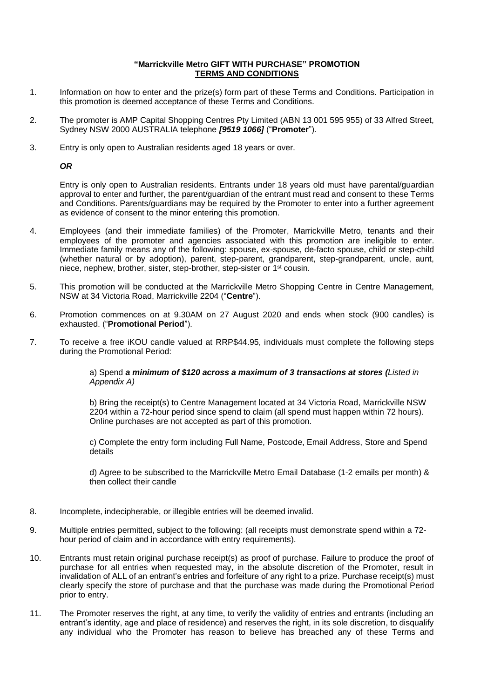## **"Marrickville Metro GIFT WITH PURCHASE" PROMOTION TERMS AND CONDITIONS**

- 1. Information on how to enter and the prize(s) form part of these Terms and Conditions. Participation in this promotion is deemed acceptance of these Terms and Conditions.
- 2. The promoter is AMP Capital Shopping Centres Pty Limited (ABN 13 001 595 955) of 33 Alfred Street, Sydney NSW 2000 AUSTRALIA telephone *[9519 1066]* ("**Promoter**").
- 3. Entry is only open to Australian residents aged 18 years or over.

*OR*

Entry is only open to Australian residents. Entrants under 18 years old must have parental/guardian approval to enter and further, the parent/guardian of the entrant must read and consent to these Terms and Conditions. Parents/guardians may be required by the Promoter to enter into a further agreement as evidence of consent to the minor entering this promotion.

- 4. Employees (and their immediate families) of the Promoter, Marrickville Metro, tenants and their employees of the promoter and agencies associated with this promotion are ineligible to enter. Immediate family means any of the following: spouse, ex-spouse, de-facto spouse, child or step-child (whether natural or by adoption), parent, step-parent, grandparent, step-grandparent, uncle, aunt, niece, nephew, brother, sister, step-brother, step-sister or 1st cousin.
- 5. This promotion will be conducted at the Marrickville Metro Shopping Centre in Centre Management, NSW at 34 Victoria Road, Marrickville 2204 ("**Centre**").
- 6. Promotion commences on at 9.30AM on 27 August 2020 and ends when stock (900 candles) is exhausted. ("**Promotional Period**").
- 7. To receive a free iKOU candle valued at RRP\$44.95, individuals must complete the following steps during the Promotional Period:

a) Spend *a minimum of \$120 across a maximum of 3 transactions at stores (Listed in Appendix A)* 

b) Bring the receipt(s) to Centre Management located at 34 Victoria Road, Marrickville NSW 2204 within a 72-hour period since spend to claim (all spend must happen within 72 hours). Online purchases are not accepted as part of this promotion.

c) Complete the entry form including Full Name, Postcode, Email Address, Store and Spend details

d) Agree to be subscribed to the Marrickville Metro Email Database (1-2 emails per month) & then collect their candle

- 8. Incomplete, indecipherable, or illegible entries will be deemed invalid.
- 9. Multiple entries permitted, subject to the following: (all receipts must demonstrate spend within a 72 hour period of claim and in accordance with entry requirements).
- 10. Entrants must retain original purchase receipt(s) as proof of purchase. Failure to produce the proof of purchase for all entries when requested may, in the absolute discretion of the Promoter, result in invalidation of ALL of an entrant's entries and forfeiture of any right to a prize. Purchase receipt(s) must clearly specify the store of purchase and that the purchase was made during the Promotional Period prior to entry.
- 11. The Promoter reserves the right, at any time, to verify the validity of entries and entrants (including an entrant's identity, age and place of residence) and reserves the right, in its sole discretion, to disqualify any individual who the Promoter has reason to believe has breached any of these Terms and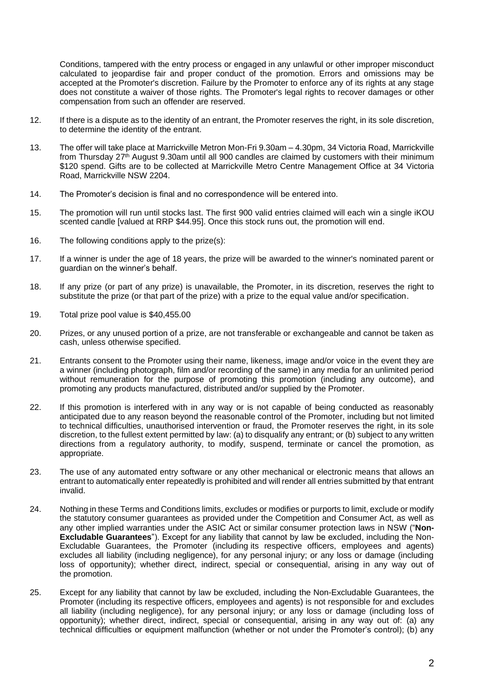Conditions, tampered with the entry process or engaged in any unlawful or other improper misconduct calculated to jeopardise fair and proper conduct of the promotion. Errors and omissions may be accepted at the Promoter's discretion. Failure by the Promoter to enforce any of its rights at any stage does not constitute a waiver of those rights. The Promoter's legal rights to recover damages or other compensation from such an offender are reserved.

- 12. If there is a dispute as to the identity of an entrant, the Promoter reserves the right, in its sole discretion, to determine the identity of the entrant.
- 13. The offer will take place at Marrickville Metron Mon-Fri 9.30am 4.30pm, 34 Victoria Road, Marrickville from Thursday  $27<sup>th</sup>$  August 9.30am until all 900 candles are claimed by customers with their minimum \$120 spend. Gifts are to be collected at Marrickville Metro Centre Management Office at 34 Victoria Road, Marrickville NSW 2204.
- 14. The Promoter's decision is final and no correspondence will be entered into.
- 15. The promotion will run until stocks last. The first 900 valid entries claimed will each win a single iKOU scented candle [valued at RRP \$44.95]. Once this stock runs out, the promotion will end.
- 16. The following conditions apply to the prize(s):
- 17. If a winner is under the age of 18 years, the prize will be awarded to the winner's nominated parent or guardian on the winner's behalf.
- 18. If any prize (or part of any prize) is unavailable, the Promoter, in its discretion, reserves the right to substitute the prize (or that part of the prize) with a prize to the equal value and/or specification.
- 19. Total prize pool value is \$40,455.00
- 20. Prizes, or any unused portion of a prize, are not transferable or exchangeable and cannot be taken as cash, unless otherwise specified.
- 21. Entrants consent to the Promoter using their name, likeness, image and/or voice in the event they are a winner (including photograph, film and/or recording of the same) in any media for an unlimited period without remuneration for the purpose of promoting this promotion (including any outcome), and promoting any products manufactured, distributed and/or supplied by the Promoter.
- 22. If this promotion is interfered with in any way or is not capable of being conducted as reasonably anticipated due to any reason beyond the reasonable control of the Promoter, including but not limited to technical difficulties, unauthorised intervention or fraud, the Promoter reserves the right, in its sole discretion, to the fullest extent permitted by law: (a) to disqualify any entrant; or (b) subject to any written directions from a regulatory authority, to modify, suspend, terminate or cancel the promotion, as appropriate.
- 23. The use of any automated entry software or any other mechanical or electronic means that allows an entrant to automatically enter repeatedly is prohibited and will render all entries submitted by that entrant invalid.
- 24. Nothing in these Terms and Conditions limits, excludes or modifies or purports to limit, exclude or modify the statutory consumer guarantees as provided under the Competition and Consumer Act, as well as any other implied warranties under the ASIC Act or similar consumer protection laws in NSW ("**Non-Excludable Guarantees**"). Except for any liability that cannot by law be excluded, including the Non-Excludable Guarantees, the Promoter (including its respective officers, employees and agents) excludes all liability (including negligence), for any personal injury; or any loss or damage (including loss of opportunity); whether direct, indirect, special or consequential, arising in any way out of the promotion.
- 25. Except for any liability that cannot by law be excluded, including the Non-Excludable Guarantees, the Promoter (including its respective officers, employees and agents) is not responsible for and excludes all liability (including negligence), for any personal injury; or any loss or damage (including loss of opportunity); whether direct, indirect, special or consequential, arising in any way out of: (a) any technical difficulties or equipment malfunction (whether or not under the Promoter's control); (b) any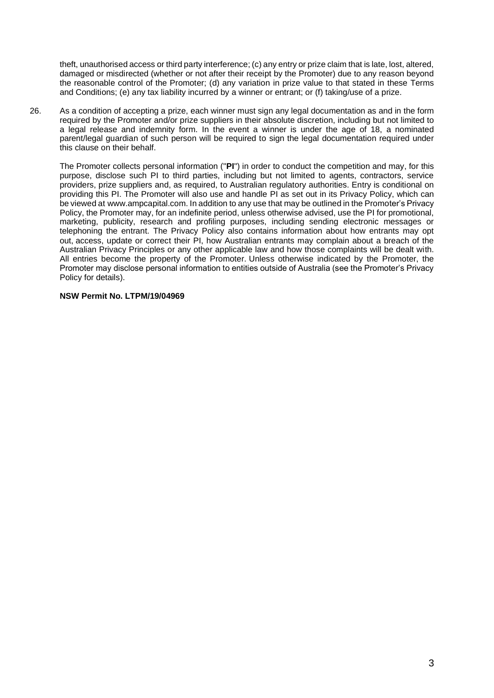theft, unauthorised access or third party interference; (c) any entry or prize claim that is late, lost, altered, damaged or misdirected (whether or not after their receipt by the Promoter) due to any reason beyond the reasonable control of the Promoter; (d) any variation in prize value to that stated in these Terms and Conditions; (e) any tax liability incurred by a winner or entrant; or (f) taking/use of a prize.

26. As a condition of accepting a prize, each winner must sign any legal documentation as and in the form required by the Promoter and/or prize suppliers in their absolute discretion, including but not limited to a legal release and indemnity form. In the event a winner is under the age of 18, a nominated parent/legal guardian of such person will be required to sign the legal documentation required under this clause on their behalf.

The Promoter collects personal information ("**PI**") in order to conduct the competition and may, for this purpose, disclose such PI to third parties, including but not limited to agents, contractors, service providers, prize suppliers and, as required, to Australian regulatory authorities. Entry is conditional on providing this PI. The Promoter will also use and handle PI as set out in its Privacy Policy, which can be viewed at www.ampcapital.com. In addition to any use that may be outlined in the Promoter's Privacy Policy, the Promoter may, for an indefinite period, unless otherwise advised, use the PI for promotional, marketing, publicity, research and profiling purposes, including sending electronic messages or telephoning the entrant. The Privacy Policy also contains information about how entrants may opt out, access, update or correct their PI, how Australian entrants may complain about a breach of the Australian Privacy Principles or any other applicable law and how those complaints will be dealt with. All entries become the property of the Promoter. Unless otherwise indicated by the Promoter, the Promoter may disclose personal information to entities outside of Australia (see the Promoter's Privacy Policy for details).

## **NSW Permit No. LTPM/19/04969**